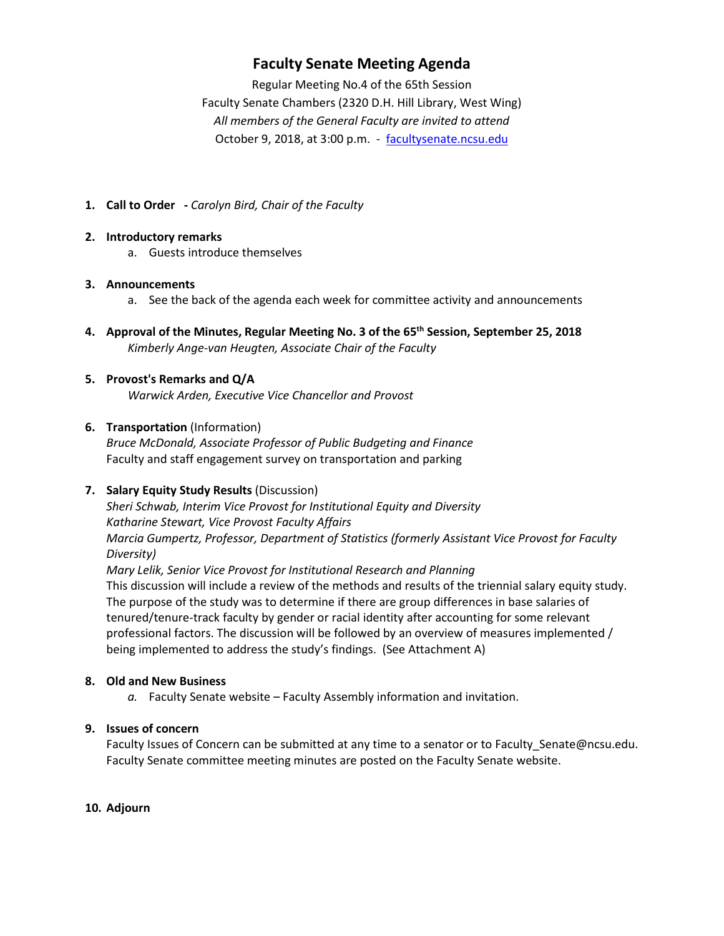# **Faculty Senate Meeting Agenda**

Regular Meeting No.4 of the 65th Session Faculty Senate Chambers (2320 D.H. Hill Library, West Wing) *All members of the General Faculty are invited to attend* October 9, 2018, at 3:00 p.m. - [facultysenate.ncsu.edu](https://facultysenate.ncsu.edu/)

**1. Call to Order -** *Carolyn Bird, Chair of the Faculty*

#### **2. Introductory remarks**

a. Guests introduce themselves

#### **3. Announcements**

- a. See the back of the agenda each week for committee activity and announcements
- **4. Approval of the Minutes, Regular Meeting No. 3 of the 65th Session, September 25, 2018** *Kimberly Ange-van Heugten, Associate Chair of the Faculty*

#### **5. Provost's Remarks and Q/A** *Warwick Arden, Executive Vice Chancellor and Provost*

#### **6. Transportation** (Information)

*Bruce McDonald, Associate Professor of Public Budgeting and Finance* Faculty and staff engagement survey on transportation and parking

# **7. Salary Equity Study Results** (Discussion)

*Sheri Schwab, Interim Vice Provost for Institutional Equity and Diversity Katharine Stewart, Vice Provost Faculty Affairs Marcia Gumpertz, Professor, Department of Statistics (formerly Assistant Vice Provost for Faculty Diversity)*

*Mary Lelik, Senior Vice Provost for Institutional Research and Planning* This discussion will include a review of the methods and results of the triennial salary equity study. The purpose of the study was to determine if there are group differences in base salaries of tenured/tenure-track faculty by gender or racial identity after accounting for some relevant professional factors. The discussion will be followed by an overview of measures implemented / being implemented to address the study's findings. (See Attachment A)

# **8. Old and New Business**

*a.* Faculty Senate website – Faculty Assembly information and invitation.

# **9. Issues of concern**

Faculty Issues of Concern can be submitted at any time to a senator or to Faculty\_Senate@ncsu.edu. Faculty Senate committee meeting minutes are posted on the Faculty Senate website.

# **10. Adjourn**